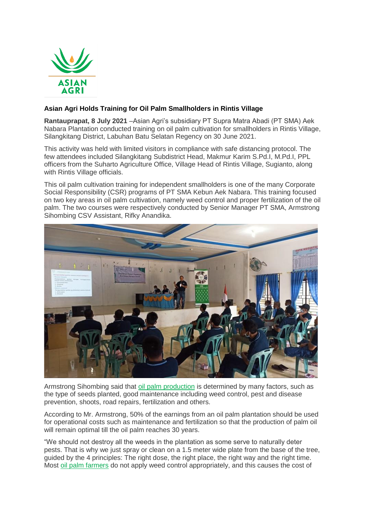

## **Asian Agri Holds Training for Oil Palm Smallholders in Rintis Village**

**Rantauprapat, 8 July 2021** –Asian Agri's subsidiary PT Supra Matra Abadi (PT SMA) Aek Nabara Plantation conducted training on oil palm cultivation for smallholders in Rintis Village, Silangkitang District, Labuhan Batu Selatan Regency on 30 June 2021.

This activity was held with limited visitors in compliance with safe distancing protocol. The few attendees included Silangkitang Subdistrict Head, Makmur Karim S.Pd.I, M.Pd.I, PPL officers from the Suharto Agriculture Office, Village Head of Rintis Village, Sugianto, along with Rintis Village officials.

This oil palm cultivation training for independent smallholders is one of the many Corporate Social Responsibility (CSR) programs of PT SMA Kebun Aek Nabara. This training focused on two key areas in oil palm cultivation, namely weed control and proper fertilization of the oil palm. The two courses were respectively conducted by Senior Manager PT SMA, Armstrong Sihombing CSV Assistant, Rifky Anandika.



Armstrong Sihombing said that [oil palm production](https://www.asianagri.com/en/our-business/plantations) is determined by many factors, such as the type of seeds planted, good maintenance including weed control, pest and disease prevention, shoots, road repairs, fertilization and others.

According to Mr. Armstrong, 50% of the earnings from an oil palm plantation should be used for operational costs such as maintenance and fertilization so that the production of palm oil will remain optimal till the oil palm reaches 30 years.

"We should not destroy all the weeds in the plantation as some serve to naturally deter pests. That is why we just spray or clean on a 1.5 meter wide plate from the base of the tree, guided by the 4 principles: The right dose, the right place, the right way and the right time. Most [oil palm farmers](https://www.asianagri.com/en/about-us/smallholder-partnership) do not apply weed control appropriately, and this causes the cost of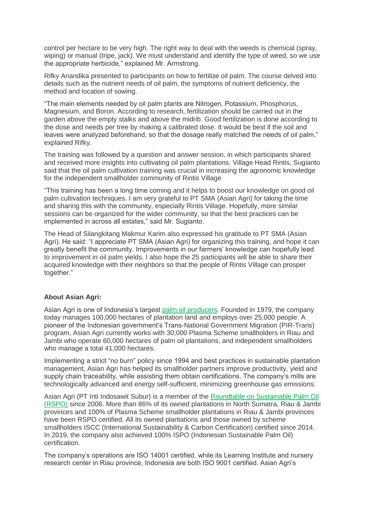control per hectare to be very high. The right way to deal with the weeds is chemical (spray, wiping) or manual (tripe, jack). We must understand and identify the type of weed, so we use the appropriate herbicide," explained Mr. Armstrong.

Rifky Anandika presented to participants on how to fertilize oil palm. The course delved into details such as the nutrient needs of oil palm, the symptoms of nutrient deficiency, the method and location of sowing.

"The main elements needed by oil palm plants are Nitrogen, Potassium, Phosphorus, Magnesium, and Boron. According to research, fertilization should be carried out in the garden above the empty stalks and above the midrib. Good fertilization is done according to the dose and needs per tree by making a calibrated dose. It would be best if the soil and leaves were analyzed beforehand, so that the dosage really matched the needs of oil palm," explained Rifky.

The training was followed by a question and answer session, in which participants shared and received more insights into cultivating oil palm plantations. Village Head Rintis, Sugianto said that the oil palm cultivation training was crucial in increasing the agronomic knowledge for the independent smallholder community of Rintis Village

"This training has been a long time coming and it helps to boost our knowledge on good oil palm cultivation techniques. I am very grateful to PT SMA (Asian Agri) for taking the time and sharing this with the community, especially Rintis Village. Hopefully, more similar sessions can be organized for the wider community, so that the best practices can be implemented in across all estates," said Mr. Sugianto.

The Head of Silangkitang Makmur Karim also expressed his gratitude to PT SMA (Asian Agri). He said: "I appreciate PT SMA (Asian Agri) for organizing this training, and hope it can greatly benefit the community. Improvements in our farmers' knowledge can hopefully lead to improvement in oil palm yields. I also hope the 25 participants will be able to share their acquired knowledge with their neighbors so that the people of Rintis Village can prosper together."

## **About Asian Agri:**

Asian Agri is one of Indonesia's largest [palm oil producers.](https://www.asianagri.com/en/about-us) Founded in 1979, the company today manages 100,000 hectares of plantation land and employs over 25,000 people. A pioneer of the Indonesian government's Trans-National Government Migration (PIR-Trans) program, Asian Agri currently works with 30,000 Plasma Scheme smallholders in Riau and Jambi who operate 60,000 hectares of palm oil plantations, and independent smallholders who manage a total 41,000 hectares.

Implementing a strict "no burn" policy since 1994 and best practices in sustainable plantation management, Asian Agri has helped its smallholder partners improve productivity, yield and supply chain traceability, while assisting them obtain certifications. The company's mills are technologically advanced and energy self-sufficient, minimizing greenhouse gas emissions.

Asian Agri (PT Inti Indosawit Subur) is a member of the [Roundtable on Sustainable Palm Oil](https://www.asianagri.com/en/sustainability-dashboard/standards-and-certifications)  [\(RSPO\)](https://www.asianagri.com/en/sustainability-dashboard/standards-and-certifications) since 2006. More than 86% of its owned plantations in North Sumatra, Riau & Jambi provinces and 100% of Plasma Scheme smallholder plantations in Riau & Jambi provinces have been RSPO certified. All its owned plantations and those owned by scheme smallholders ISCC (International Sustainability & Carbon Certification) certified since 2014. In 2019, the company also achieved 100% ISPO (Indonesian Sustainable Palm Oil) certification.

The company's operations are ISO 14001 certified, while its Learning Institute and nursery research center in Riau province, Indonesia are both ISO 9001 certified. Asian Agri's